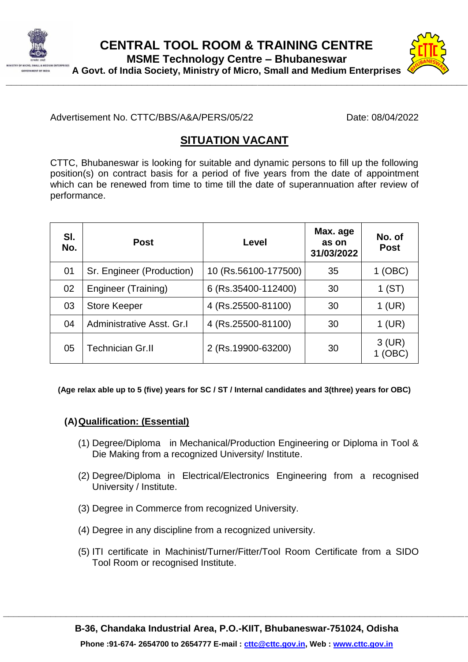



Advertisement No. CTTC/BBS/A&A/PERS/05/22 Date: 08/04/2022

## **SITUATION VACANT**

CTTC, Bhubaneswar is looking for suitable and dynamic persons to fill up the following position(s) on contract basis for a period of five years from the date of appointment which can be renewed from time to time till the date of superannuation after review of performance.

| SI.<br>No. | <b>Post</b>               | Level                | Max. age<br>as on<br>31/03/2022 | No. of<br><b>Post</b> |
|------------|---------------------------|----------------------|---------------------------------|-----------------------|
| 01         | Sr. Engineer (Production) | 10 (Rs.56100-177500) | 35                              | 1 (OBC)               |
| 02         | Engineer (Training)       | 6 (Rs.35400-112400)  | 30                              | 1(ST)                 |
| 03         | <b>Store Keeper</b>       | 4 (Rs.25500-81100)   | 30                              | 1 (UR)                |
| 04         | Administrative Asst. Gr.I | 4 (Rs.25500-81100)   | 30                              | $1$ (UR)              |
| 05         | <b>Technician Gr.II</b>   | 2 (Rs.19900-63200)   | 30                              | $3$ (UR)<br>(OBC      |

**(Age relax able up to 5 (five) years for SC / ST / Internal candidates and 3(three) years for OBC)**

## **(A)Qualification: (Essential)**

- (1) Degree/Diploma in Mechanical/Production Engineering or Diploma in Tool & Die Making from a recognized University/ Institute.
- (2) Degree/Diploma in Electrical/Electronics Engineering from a recognised University / Institute.
- (3) Degree in Commerce from recognized University.
- (4) Degree in any discipline from a recognized university.
- (5) ITI certificate in Machinist/Turner/Fitter/Tool Room Certificate from a SIDO Tool Room or recognised Institute.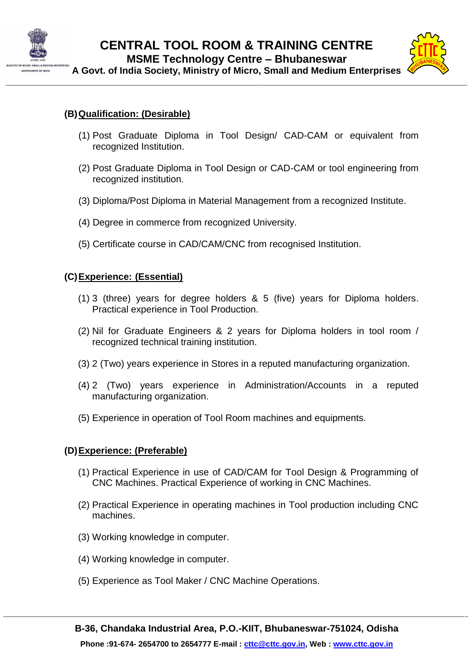



## **(B)Qualification: (Desirable)**

- (1) Post Graduate Diploma in Tool Design/ CAD-CAM or equivalent from recognized Institution.
- (2) Post Graduate Diploma in Tool Design or CAD-CAM or tool engineering from recognized institution.
- (3) Diploma/Post Diploma in Material Management from a recognized Institute.
- (4) Degree in commerce from recognized University.
- (5) Certificate course in CAD/CAM/CNC from recognised Institution.

### **(C)Experience: (Essential)**

- (1) 3 (three) years for degree holders & 5 (five) years for Diploma holders. Practical experience in Tool Production.
- (2) Nil for Graduate Engineers & 2 years for Diploma holders in tool room / recognized technical training institution.
- (3) 2 (Two) years experience in Stores in a reputed manufacturing organization.
- (4) 2 (Two) years experience in Administration/Accounts in a reputed manufacturing organization.
- (5) Experience in operation of Tool Room machines and equipments.

### **(D)Experience: (Preferable)**

- (1) Practical Experience in use of CAD/CAM for Tool Design & Programming of CNC Machines. Practical Experience of working in CNC Machines.
- (2) Practical Experience in operating machines in Tool production including CNC machines.
- (3) Working knowledge in computer.
- (4) Working knowledge in computer.
- (5) Experience as Tool Maker / CNC Machine Operations.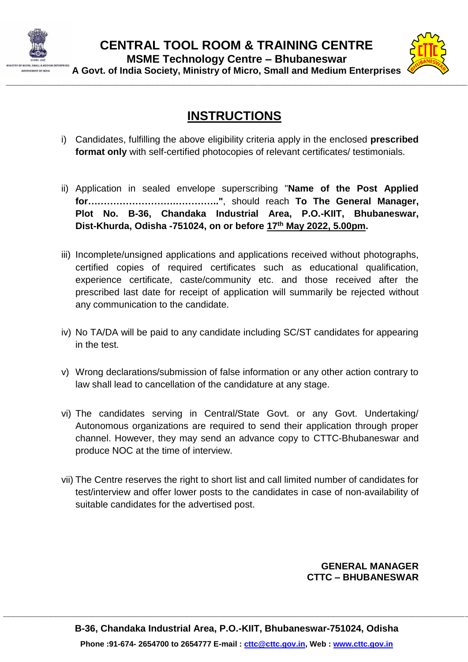



**A Govt. of India Society, Ministry of Micro, Small and Medium Enterprises**

# **INSTRUCTIONS**

- i) Candidates, fulfilling the above eligibility criteria apply in the enclosed **prescribed format only** with self-certified photocopies of relevant certificates/ testimonials.
- ii) Application in sealed envelope superscribing "**Name of the Post Applied for……………………….………….."**, should reach **To The General Manager, Plot No. B-36, Chandaka Industrial Area, P.O.-KIIT, Bhubaneswar, Dist-Khurda, Odisha -751024, on or before 17th May 2022, 5.00pm.**
- iii) Incomplete/unsigned applications and applications received without photographs, certified copies of required certificates such as educational qualification, experience certificate, caste/community etc. and those received after the prescribed last date for receipt of application will summarily be rejected without any communication to the candidate.
- iv) No TA/DA will be paid to any candidate including SC/ST candidates for appearing in the test.
- v) Wrong declarations/submission of false information or any other action contrary to law shall lead to cancellation of the candidature at any stage.
- vi) The candidates serving in Central/State Govt. or any Govt. Undertaking/ Autonomous organizations are required to send their application through proper channel. However, they may send an advance copy to CTTC-Bhubaneswar and produce NOC at the time of interview.
- vii) The Centre reserves the right to short list and call limited number of candidates for test/interview and offer lower posts to the candidates in case of non-availability of suitable candidates for the advertised post.

## **GENERAL MANAGER CTTC – BHUBANESWAR**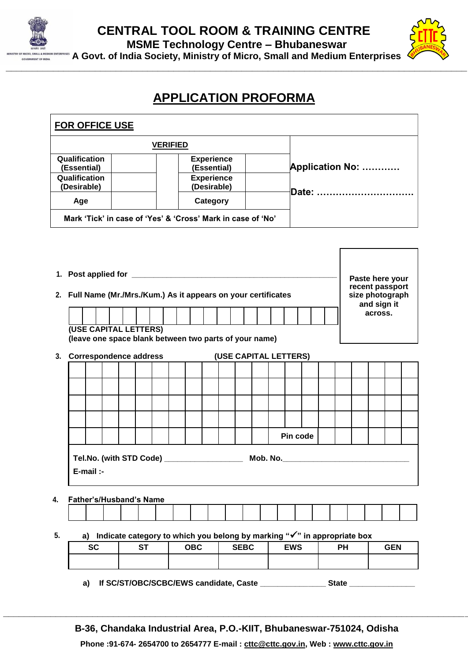



## **APPLICATION PROFORMA**

| <b>FOR OFFICE USE</b>                                                           |                                                   |                                                                         |                 |  |                           |                       |  |  |                                   |            |                         |  |    |                                                   |         |  |  |  |
|---------------------------------------------------------------------------------|---------------------------------------------------|-------------------------------------------------------------------------|-----------------|--|---------------------------|-----------------------|--|--|-----------------------------------|------------|-------------------------|--|----|---------------------------------------------------|---------|--|--|--|
|                                                                                 |                                                   |                                                                         | <b>VERIFIED</b> |  |                           |                       |  |  |                                   |            |                         |  |    |                                                   |         |  |  |  |
| (Essential)                                                                     | Qualification<br><b>Experience</b><br>(Essential) |                                                                         |                 |  |                           |                       |  |  |                                   |            | <b>Application No: </b> |  |    |                                                   |         |  |  |  |
| Qualification<br>(Desirable)                                                    | <b>Experience</b><br>(Desirable)                  |                                                                         |                 |  |                           |                       |  |  |                                   |            |                         |  |    |                                                   |         |  |  |  |
| Age                                                                             | Date:<br>Category                                 |                                                                         |                 |  |                           |                       |  |  |                                   |            |                         |  |    |                                                   |         |  |  |  |
| Mark 'Tick' in case of 'Yes' & 'Cross' Mark in case of 'No'                     |                                                   |                                                                         |                 |  |                           |                       |  |  |                                   |            |                         |  |    |                                                   |         |  |  |  |
|                                                                                 |                                                   |                                                                         |                 |  |                           |                       |  |  |                                   |            |                         |  |    |                                                   |         |  |  |  |
|                                                                                 |                                                   |                                                                         |                 |  |                           |                       |  |  |                                   |            |                         |  |    |                                                   |         |  |  |  |
|                                                                                 |                                                   |                                                                         |                 |  |                           |                       |  |  |                                   |            |                         |  |    | Paste here your                                   |         |  |  |  |
| 2. Full Name (Mr./Mrs./Kum.) As it appears on your certificates                 |                                                   |                                                                         |                 |  |                           |                       |  |  |                                   |            |                         |  |    | recent passport<br>size photograph<br>and sign it |         |  |  |  |
|                                                                                 |                                                   |                                                                         |                 |  |                           |                       |  |  |                                   |            |                         |  |    |                                                   | across. |  |  |  |
| (USE CAPITAL LETTERS)<br>(leave one space blank between two parts of your name) |                                                   |                                                                         |                 |  |                           |                       |  |  |                                   |            |                         |  |    |                                                   |         |  |  |  |
| 3. Correspondence address                                                       |                                                   |                                                                         |                 |  |                           | (USE CAPITAL LETTERS) |  |  |                                   |            |                         |  |    |                                                   |         |  |  |  |
|                                                                                 |                                                   |                                                                         |                 |  |                           |                       |  |  |                                   |            |                         |  |    |                                                   |         |  |  |  |
|                                                                                 |                                                   |                                                                         |                 |  |                           |                       |  |  |                                   |            |                         |  |    |                                                   |         |  |  |  |
|                                                                                 |                                                   |                                                                         |                 |  |                           |                       |  |  |                                   |            |                         |  |    |                                                   |         |  |  |  |
|                                                                                 |                                                   |                                                                         |                 |  |                           |                       |  |  |                                   |            |                         |  |    |                                                   |         |  |  |  |
|                                                                                 |                                                   |                                                                         |                 |  |                           |                       |  |  |                                   | Pin code   |                         |  |    |                                                   |         |  |  |  |
| Tel.No. (with STD Code) ___________________                                     |                                                   |                                                                         |                 |  |                           |                       |  |  | Mob. No._________________________ |            |                         |  |    |                                                   |         |  |  |  |
| E-mail :-                                                                       |                                                   |                                                                         |                 |  |                           |                       |  |  |                                   |            |                         |  |    |                                                   |         |  |  |  |
| 4.                                                                              | <b>Father's/Husband's Name</b>                    |                                                                         |                 |  |                           |                       |  |  |                                   |            |                         |  |    |                                                   |         |  |  |  |
|                                                                                 |                                                   |                                                                         |                 |  |                           |                       |  |  |                                   |            |                         |  |    |                                                   |         |  |  |  |
| 5.<br>a)                                                                        |                                                   | Indicate category to which you belong by marking "√" in appropriate box |                 |  |                           |                       |  |  |                                   |            |                         |  |    |                                                   |         |  |  |  |
| <b>SC</b>                                                                       |                                                   | <b>ST</b>                                                               |                 |  | <b>OBC</b><br><b>SEBC</b> |                       |  |  |                                   | <b>EWS</b> |                         |  | PН | <b>GEN</b>                                        |         |  |  |  |
|                                                                                 |                                                   |                                                                         |                 |  |                           |                       |  |  |                                   |            |                         |  |    |                                                   |         |  |  |  |
| If SC/ST/OBC/SCBC/EWS candidate, Caste<br><b>State</b><br>a)                    |                                                   |                                                                         |                 |  |                           |                       |  |  |                                   |            |                         |  |    |                                                   |         |  |  |  |

**B-36, Chandaka Industrial Area, P.O.-KIIT, Bhubaneswar-751024, Odisha Phone :91-674- 2654700 to 2654777 E-mail : [cttc@cttc.gov.in,](mailto:cttc@cttc.gov.in) Web : www.cttc.gov.in**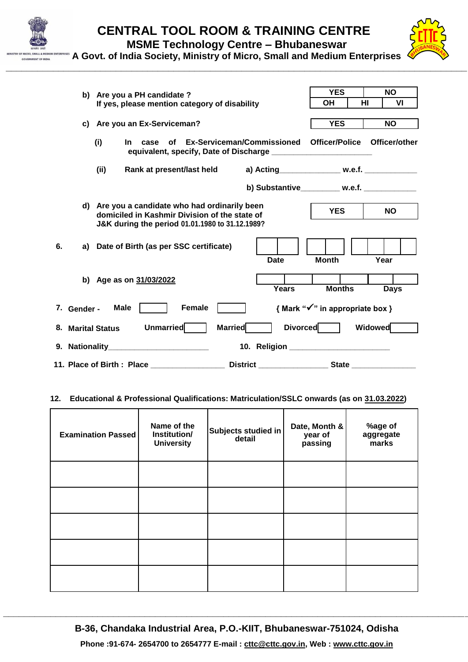

**MSME Technology Centre – Bhubaneswar**

**\_\_\_\_\_\_\_\_\_\_\_\_\_\_\_\_\_\_\_\_\_\_\_\_\_\_\_\_\_\_\_\_\_\_\_\_\_\_\_\_\_\_\_\_\_\_\_\_\_\_\_\_\_\_\_\_\_\_\_\_\_\_\_\_\_\_\_\_\_\_\_\_\_\_\_\_\_\_\_\_\_\_\_\_\_\_\_\_**

**A Govt. of India Society, Ministry of Micro, Small and Medium Enterprises**

|    |                                                                                                                                                      | b) Are you a PH candidate ?                                                     |             |                                                                                                                 |                  |  |                                               |  |              | <b>YES</b>      | <b>NO</b>                                    |  |         |             |  |
|----|------------------------------------------------------------------------------------------------------------------------------------------------------|---------------------------------------------------------------------------------|-------------|-----------------------------------------------------------------------------------------------------------------|------------------|--|-----------------------------------------------|--|--------------|-----------------|----------------------------------------------|--|---------|-------------|--|
|    |                                                                                                                                                      |                                                                                 |             |                                                                                                                 |                  |  | If yes, please mention category of disability |  |              |                 | HI<br>ΟH                                     |  |         | VI          |  |
|    |                                                                                                                                                      |                                                                                 |             |                                                                                                                 |                  |  |                                               |  |              |                 |                                              |  |         |             |  |
|    | Are you an Ex-Serviceman?<br>C)                                                                                                                      |                                                                                 |             |                                                                                                                 |                  |  |                                               |  |              |                 | <b>YES</b>                                   |  |         | <b>NO</b>   |  |
|    | of Ex-Serviceman/Commissioned Officer/Police Officer/other<br>(i)<br>In.<br>case<br>equivalent, specify, Date of Discharge _________________________ |                                                                                 |             |                                                                                                                 |                  |  |                                               |  |              |                 |                                              |  |         |             |  |
|    |                                                                                                                                                      | (ii)<br>Rank at present/last held<br>a) Acting______________ w.e.f. ___________ |             |                                                                                                                 |                  |  |                                               |  |              |                 |                                              |  |         |             |  |
|    |                                                                                                                                                      |                                                                                 |             |                                                                                                                 |                  |  |                                               |  |              |                 | b) Substantive_________ w.e.f. ____________  |  |         |             |  |
|    | d) Are you a candidate who had ordinarily been<br>domiciled in Kashmir Division of the state of<br>J&K during the period 01.01.1980 to 31.12.1989?   |                                                                                 |             |                                                                                                                 |                  |  |                                               |  |              |                 | <b>YES</b>                                   |  |         | <b>NO</b>   |  |
| 6. | a)                                                                                                                                                   |                                                                                 |             | Date of Birth (as per SSC certificate)                                                                          |                  |  |                                               |  | <b>Date</b>  |                 | <b>Month</b>                                 |  | Year    |             |  |
|    |                                                                                                                                                      |                                                                                 |             | b) Age as on 31/03/2022                                                                                         |                  |  |                                               |  | <b>Years</b> |                 | <b>Months</b>                                |  |         | <b>Days</b> |  |
|    | 7. Gender -                                                                                                                                          |                                                                                 | <b>Male</b> |                                                                                                                 | <b>Female</b>    |  |                                               |  |              |                 | { Mark " $\checkmark$ " in appropriate box } |  |         |             |  |
|    |                                                                                                                                                      | 8. Marital Status                                                               |             |                                                                                                                 | <b>Unmarried</b> |  | <b>Married</b>                                |  |              | <b>Divorced</b> |                                              |  | Widowed |             |  |
|    |                                                                                                                                                      |                                                                                 |             | 9. Nationality Management Contains a substitution of the set of the set of the set of the set of the set of the |                  |  |                                               |  |              |                 |                                              |  |         |             |  |
|    |                                                                                                                                                      |                                                                                 |             | 11. Place of Birth : Place ________________                                                                     |                  |  |                                               |  |              |                 |                                              |  |         |             |  |

#### **12. Educational & Professional Qualifications: Matriculation/SSLC onwards (as on 31.03.2022)**

| <b>Examination Passed</b> | Name of the<br>Institution/<br><b>University</b> | Subjects studied in<br>detail | Date, Month &<br>year of<br>passing | %age of<br>aggregate<br>marks |
|---------------------------|--------------------------------------------------|-------------------------------|-------------------------------------|-------------------------------|
|                           |                                                  |                               |                                     |                               |
|                           |                                                  |                               |                                     |                               |
|                           |                                                  |                               |                                     |                               |
|                           |                                                  |                               |                                     |                               |
|                           |                                                  |                               |                                     |                               |